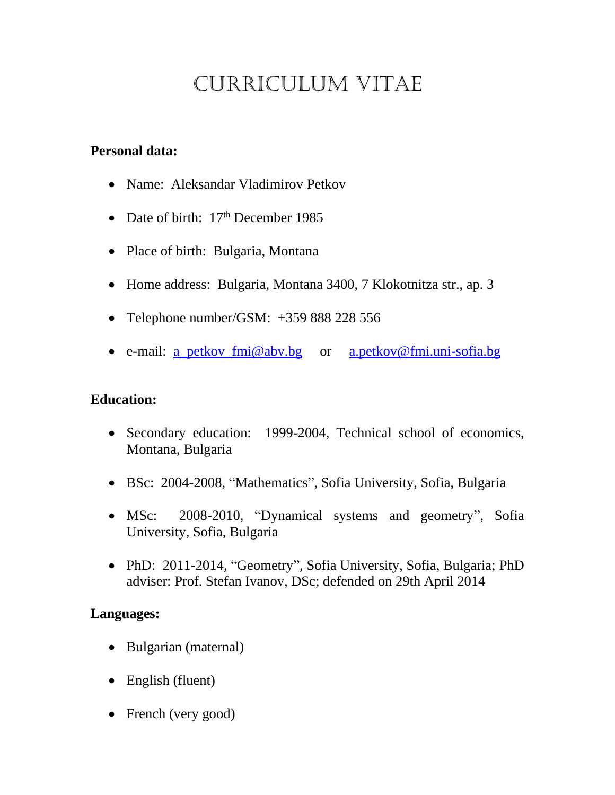# CURRICULUM VITAE

## **Personal data:**

- Name: Aleksandar Vladimirov Petkov
- Date of birth: 17<sup>th</sup> December 1985
- Place of birth: Bulgaria, Montana
- Home address: Bulgaria, Montana 3400, 7 Klokotnitza str., ap. 3
- Telephone number/GSM: +359 888 228 556
- e-mail: <u>a\_petkov\_fmi@abv.bg</u> or <u>[a.petkov@fmi.uni-sofia.bg](mailto:a.petkov@fmi.uni-sofia.bg)</u>

## **Education:**

- Secondary education: 1999-2004, Technical school of economics, Montana, Bulgaria
- BSc: 2004-2008, "Mathematics", Sofia University, Sofia, Bulgaria
- MSc: 2008-2010, "Dynamical systems and geometry", Sofia University, Sofia, Bulgaria
- PhD: 2011-2014, "Geometry", Sofia University, Sofia, Bulgaria; PhD adviser: Prof. Stefan Ivanov, DSc; defended on 29th April 2014

#### **Languages:**

- Bulgarian (maternal)
- English (fluent)
- French (very good)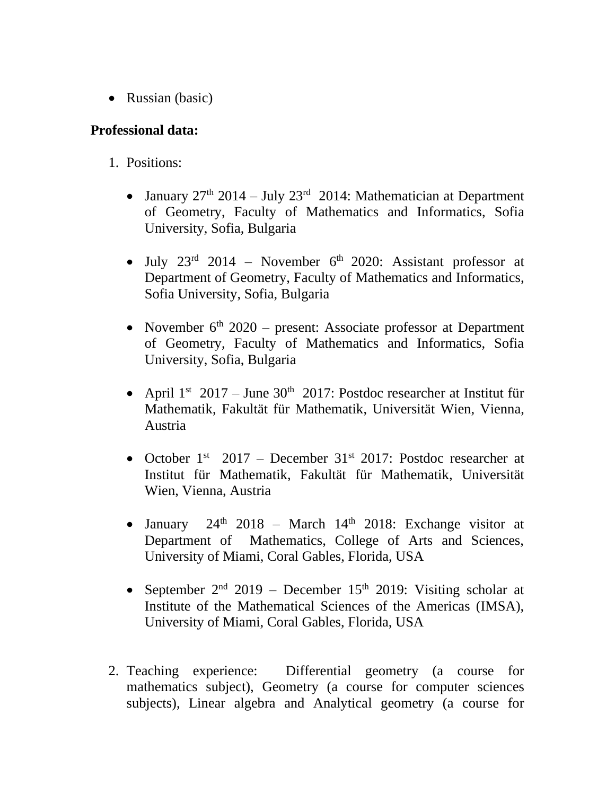• Russian (basic)

### **Professional data:**

- 1. Positions:
	- January  $27<sup>th</sup>$  2014 July  $23<sup>rd</sup>$  2014: Mathematician at Department of Geometry, Faculty of Mathematics and Informatics, Sofia University, Sofia, Bulgaria
	- July  $23<sup>rd</sup>$  2014 November  $6<sup>th</sup>$  2020: Assistant professor at Department of Geometry, Faculty of Mathematics and Informatics, Sofia University, Sofia, Bulgaria
	- November  $6<sup>th</sup>$  2020 present: Associate professor at Department of Geometry, Faculty of Mathematics and Informatics, Sofia University, Sofia, Bulgaria
	- April  $1^{st}$  2017 June 30<sup>th</sup> 2017: Postdoc researcher at Institut für Mathematik, Fakultät für Mathematik, Universität Wien, Vienna, Austria
	- October  $1<sup>st</sup>$  2017 December 31 $<sup>st</sup>$  2017: Postdoc researcher at</sup> Institut für Mathematik, Fakultät für Mathematik, Universität Wien, Vienna, Austria
	- January  $24<sup>th</sup>$  2018 March 14<sup>th</sup> 2018: Exchange visitor at Department of Mathematics, College of Arts and Sciences, University of Miami, Coral Gables, Florida, USA
	- September  $2<sup>nd</sup>$  2019 December 15<sup>th</sup> 2019: Visiting scholar at Institute of the Mathematical Sciences of the Americas (IMSA), University of Miami, Coral Gables, Florida, USA
- 2. Teaching experience: Differential geometry (a course for mathematics subject), Geometry (a course for computer sciences subjects), Linear algebra and Analytical geometry (a course for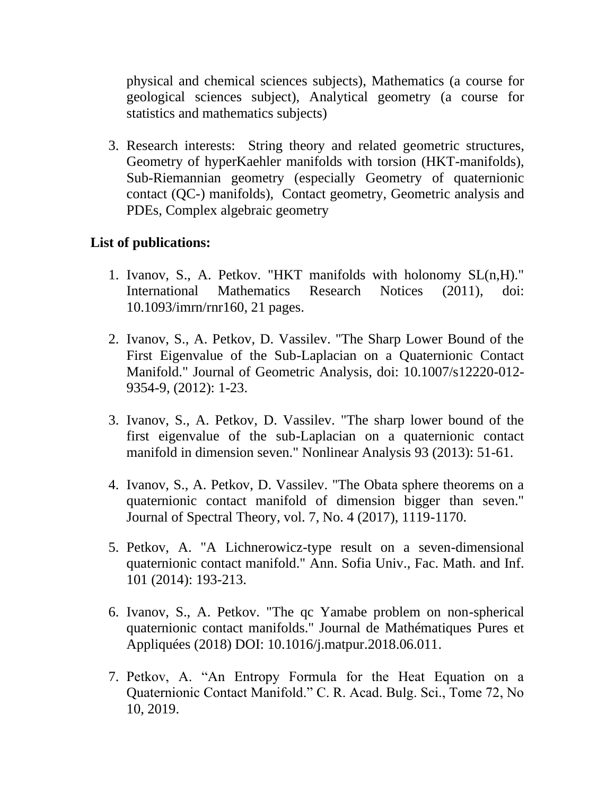physical and chemical sciences subjects), Mathematics (a course for geological sciences subject), Analytical geometry (a course for statistics and mathematics subjects)

3. Research interests: String theory and related geometric structures, Geometry of hyperKaehler manifolds with torsion (HKT-manifolds), Sub-Riemannian geometry (especially Geometry of quaternionic contact (QC-) manifolds), Contact geometry, Geometric analysis and PDEs, Complex algebraic geometry

#### **List of publications:**

- 1. Ivanov, S., A. Petkov. "HKT manifolds with holonomy SL(n,H)." International Mathematics Research Notices (2011), doi: 10.1093/imrn/rnr160, 21 pages.
- 2. Ivanov, S., A. Petkov, D. Vassilev. "The Sharp Lower Bound of the First Eigenvalue of the Sub-Laplacian on a Quaternionic Contact Manifold." Journal of Geometric Analysis, doi: 10.1007/s12220-012- 9354-9, (2012): 1-23.
- 3. Ivanov, S., A. Petkov, D. Vassilev. "The sharp lower bound of the first eigenvalue of the sub-Laplacian on a quaternionic contact manifold in dimension seven." Nonlinear Analysis 93 (2013): 51-61.
- 4. Ivanov, S., A. Petkov, D. Vassilev. "The Obata sphere theorems on a quaternionic contact manifold of dimension bigger than seven." Journal of Spectral Theory, vol. 7, No. 4 (2017), 1119-1170.
- 5. Petkov, A. "A Lichnerowicz-type result on a seven-dimensional quaternionic contact manifold." Ann. Sofia Univ., Fac. Math. and Inf. 101 (2014): 193-213.
- 6. Ivanov, S., A. Petkov. "The qc Yamabe problem on non-spherical quaternionic contact manifolds." Journal de Mathématiques Pures et Appliquées (2018) DOI: 10.1016/j.matpur.2018.06.011.
- 7. Petkov, A. "An Entropy Formula for the Heat Equation on a Quaternionic Contact Manifold." C. R. Acad. Bulg. Sci., Tome 72, No 10, 2019.